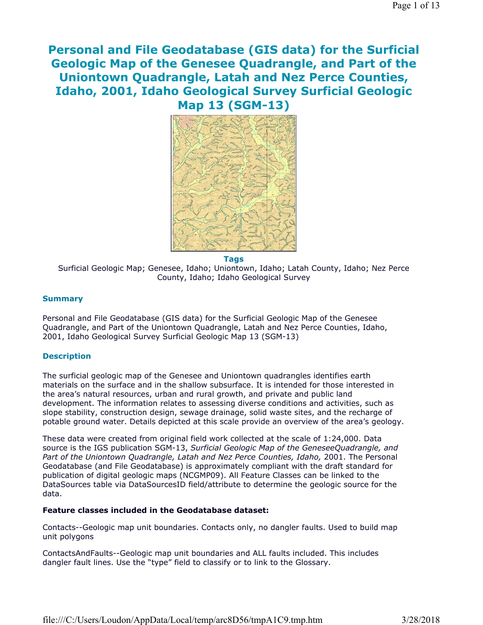# **Personal and File Geodatabase (GIS data) for the Surficial Geologic Map of the Genesee Quadrangle, and Part of the Uniontown Quadrangle, Latah and Nez Perce Counties, Idaho, 2001, Idaho Geological Survey Surficial Geologic Map 13 (SGM-13)**



**Tags**

Surficial Geologic Map; Genesee, Idaho; Uniontown, Idaho; Latah County, Idaho; Nez Perce County, Idaho; Idaho Geological Survey

### **Summary**

Personal and File Geodatabase (GIS data) for the Surficial Geologic Map of the Genesee Quadrangle, and Part of the Uniontown Quadrangle, Latah and Nez Perce Counties, Idaho, 2001, Idaho Geological Survey Surficial Geologic Map 13 (SGM-13)

#### **Description**

The surficial geologic map of the Genesee and Uniontown quadrangles identifies earth materials on the surface and in the shallow subsurface. It is intended for those interested in the area's natural resources, urban and rural growth, and private and public land development. The information relates to assessing diverse conditions and activities, such as slope stability, construction design, sewage drainage, solid waste sites, and the recharge of potable ground water. Details depicted at this scale provide an overview of the area's geology.

These data were created from original field work collected at the scale of 1:24,000. Data source is the IGS publication SGM-13, *Surficial Geologic Map of the GeneseeQuadrangle, and*  Part of the Uniontown Quadrangle, Latah and Nez Perce Counties, Idaho, 2001. The Personal Geodatabase (and File Geodatabase) is approximately compliant with the draft standard for publication of digital geologic maps (NCGMP09). All Feature Classes can be linked to the DataSources table via DataSourcesID field/attribute to determine the geologic source for the data.

#### **Feature classes included in the Geodatabase dataset:**

Contacts--Geologic map unit boundaries. Contacts only, no dangler faults. Used to build map unit polygons

ContactsAndFaults--Geologic map unit boundaries and ALL faults included. This includes dangler fault lines. Use the "type" field to classify or to link to the Glossary.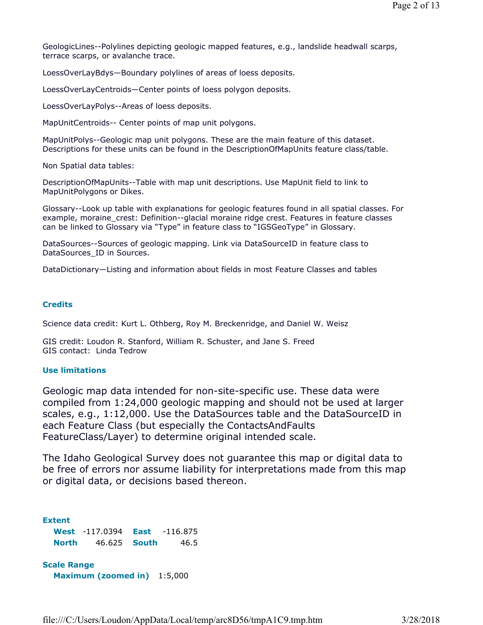GeologicLines--Polylines depicting geologic mapped features, e.g., landslide headwall scarps, terrace scarps, or avalanche trace.

LoessOverLayBdys—Boundary polylines of areas of loess deposits.

LoessOverLayCentroids—Center points of loess polygon deposits.

LoessOverLayPolys--Areas of loess deposits.

MapUnitCentroids-- Center points of map unit polygons.

MapUnitPolys--Geologic map unit polygons. These are the main feature of this dataset. Descriptions for these units can be found in the DescriptionOfMapUnits feature class/table.

Non Spatial data tables:

DescriptionOfMapUnits--Table with map unit descriptions. Use MapUnit field to link to MapUnitPolygons or Dikes.

Glossary--Look up table with explanations for geologic features found in all spatial classes. For example, moraine\_crest: Definition--glacial moraine ridge crest. Features in feature classes can be linked to Glossary via "Type" in feature class to "IGSGeoType" in Glossary.

DataSources--Sources of geologic mapping. Link via DataSourceID in feature class to DataSources ID in Sources.

DataDictionary—Listing and information about fields in most Feature Classes and tables

### **Credits**

Science data credit: Kurt L. Othberg, Roy M. Breckenridge, and Daniel W. Weisz

GIS credit: Loudon R. Stanford, William R. Schuster, and Jane S. Freed GIS contact: Linda Tedrow

### **Use limitations**

Geologic map data intended for non-site-specific use. These data were compiled from 1:24,000 geologic mapping and should not be used at larger scales, e.g., 1:12,000. Use the DataSources table and the DataSourceID in each Feature Class (but especially the ContactsAndFaults FeatureClass/Layer) to determine original intended scale.

The Idaho Geological Survey does not guarantee this map or digital data to be free of errors nor assume liability for interpretations made from this map or digital data, or decisions based thereon.

**Extent West** -117.0394 **East** -116.875 **North** 46.625 **South** 46.5

**Scale Range Maximum (zoomed in)** 1:5,000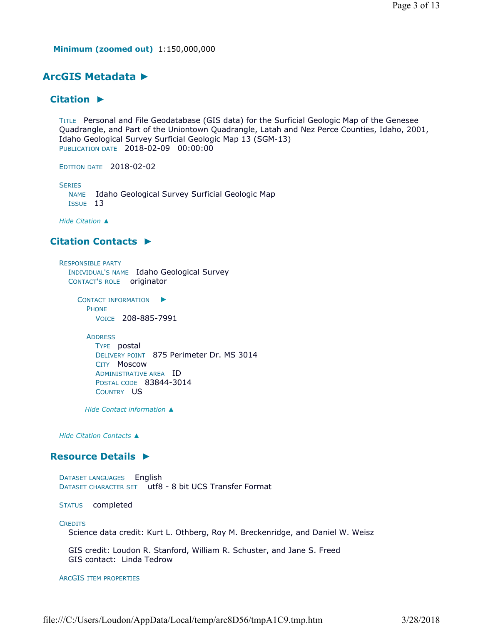**Minimum (zoomed out)** 1:150,000,000

# **ArcGIS Metadata ►**

# **Citation ►**

TITLE Personal and File Geodatabase (GIS data) for the Surficial Geologic Map of the Genesee Quadrangle, and Part of the Uniontown Quadrangle, Latah and Nez Perce Counties, Idaho, 2001, Idaho Geological Survey Surficial Geologic Map 13 (SGM-13) PUBLICATION DATE 2018-02-09 00:00:00

EDITION DATE 2018-02-02

**SERIES** 

NAME Idaho Geological Survey Surficial Geologic Map ISSUE 13

*Hide Citation ▲*

# **Citation Contacts ►**

RESPONSIBLE PARTY INDIVIDUAL'S NAME Idaho Geological Survey CONTACT'S ROLE originator

> CONTACT INFORMATION ► PHONE VOICE 208-885-7991

ADDRESS

TYPE postal DELIVERY POINT 875 Perimeter Dr. MS 3014 CITY Moscow ADMINISTRATIVE AREA ID POSTAL CODE 83844-3014 COUNTRY US

*Hide Contact information ▲*

*Hide Citation Contacts ▲*

### **Resource Details ►**

DATASET LANGUAGES English DATASET CHARACTER SET utf8 - 8 bit UCS Transfer Format

STATUS completed

#### **CREDITS**

Science data credit: Kurt L. Othberg, Roy M. Breckenridge, and Daniel W. Weisz

GIS credit: Loudon R. Stanford, William R. Schuster, and Jane S. Freed GIS contact: Linda Tedrow

ARCGIS ITEM PROPERTIES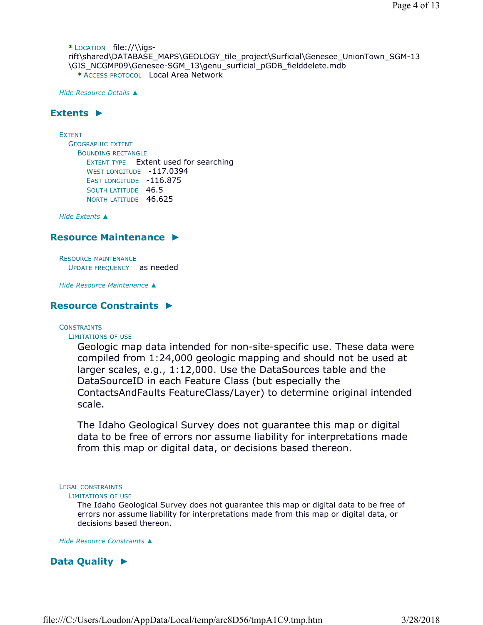**\*** LOCATION file://\\igsrift\shared\DATABASE\_MAPS\GEOLOGY\_tile\_project\Surficial\Genesee\_UnionTown\_SGM-13 \GIS\_NCGMP09\Genesee-SGM\_13\genu\_surficial\_pGDB\_fielddelete.mdb **\*** ACCESS PROTOCOL Local Area Network

*Hide Resource Details ▲*

# **Extents ►**

EXTENT GEOGRAPHIC EXTENT BOUNDING RECTANGLE EXTENT TYPE Extent used for searching WEST LONGITUDE -117.0394 EAST LONGITUDE -116.875 SOUTH LATITUDE 46.5 NORTH LATITUDE 46.625

*Hide Extents ▲*

### **Resource Maintenance ►**

RESOURCE MAINTENANCE UPDATE FREQUENCY as needed

*Hide Resource Maintenance ▲*

# **Resource Constraints ►**

#### **CONSTRAINTS**

LIMITATIONS OF USE

Geologic map data intended for non-site-specific use. These data were compiled from 1:24,000 geologic mapping and should not be used at larger scales, e.g., 1:12,000. Use the DataSources table and the DataSourceID in each Feature Class (but especially the ContactsAndFaults FeatureClass/Layer) to determine original intended scale.

The Idaho Geological Survey does not guarantee this map or digital data to be free of errors nor assume liability for interpretations made from this map or digital data, or decisions based thereon.

LEGAL CONSTRAINTS

#### LIMITATIONS OF USE

The Idaho Geological Survey does not guarantee this map or digital data to be free of errors nor assume liability for interpretations made from this map or digital data, or decisions based thereon.

*Hide Resource Constraints ▲*

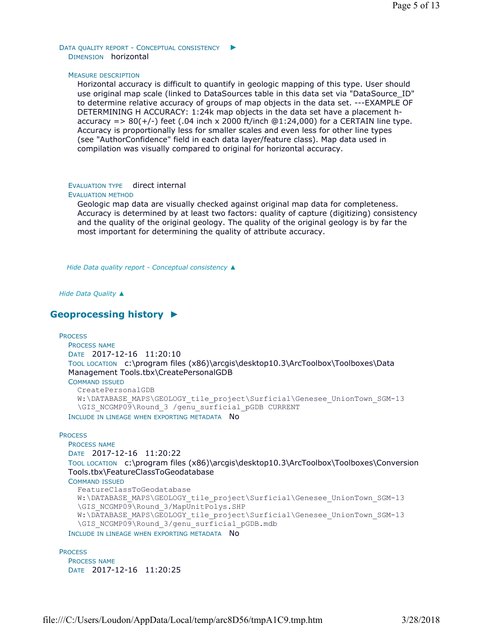DATA QUALITY REPORT - CONCEPTUAL CONSISTENCY ► DIMENSION horizontal

#### MEASURE DESCRIPTION

Horizontal accuracy is difficult to quantify in geologic mapping of this type. User should use original map scale (linked to DataSources table in this data set via "DataSource\_ID" to determine relative accuracy of groups of map objects in the data set. ---EXAMPLE OF DETERMINING H ACCURACY: 1:24k map objects in the data set have a placement haccuracy =  $> 80(+/-)$  feet (.04 inch x 2000 ft/inch  $@1:24,000$ ) for a CERTAIN line type. Accuracy is proportionally less for smaller scales and even less for other line types (see "AuthorConfidence" field in each data layer/feature class). Map data used in compilation was visually compared to original for horizontal accuracy.

### EVALUATION TYPE direct internal

#### EVALUATION METHOD

Geologic map data are visually checked against original map data for completeness. Accuracy is determined by at least two factors: quality of capture (digitizing) consistency and the quality of the original geology. The quality of the original geology is by far the most important for determining the quality of attribute accuracy.

*Hide Data quality report - Conceptual consistency ▲*

*Hide Data Quality ▲*

# **Geoprocessing history ►**

```
PROCESS
```
PROCESS NAME DATE 2017-12-16 11:20:10 TOOL LOCATION c:\program files (x86)\arcgis\desktop10.3\ArcToolbox\Toolboxes\Data Management Tools.tbx\CreatePersonalGDB

COMMAND ISSUED

```
CreatePersonalGDB 
  W:\DATABASE_MAPS\GEOLOGY_tile_project\Surficial\Genesee_UnionTown_SGM-13
  \GIS_NCGMP09\Round_3 /genu_surficial_pGDB CURRENT
INCLUDE IN LINEAGE WHEN EXPORTING METADATA NO
```
#### **PROCESS**

```
PROCESS NAME
DATE 2017-12-16 11:20:22 
TOOL LOCATION c:\program files (x86)\arcgis\desktop10.3\ArcToolbox\Toolboxes\Conversion 
Tools.tbx\FeatureClassToGeodatabase 
COMMAND ISSUED
```

```
FeatureClassToGeodatabase 
  W:\DATABASE_MAPS\GEOLOGY_tile_project\Surficial\Genesee_UnionTown_SGM-13
  \GIS_NCGMP09\Round_3/MapUnitPolys.SHP 
  W:\DATABASE_MAPS\GEOLOGY_tile_project\Surficial\Genesee_UnionTown_SGM-13
  \GIS_NCGMP09\Round_3/genu_surficial_pGDB.mdb
INCLUDE IN LINEAGE WHEN EXPORTING METADATA NO
```
#### **PROCESS** PROCESS NAME DATE 2017-12-16 11:20:25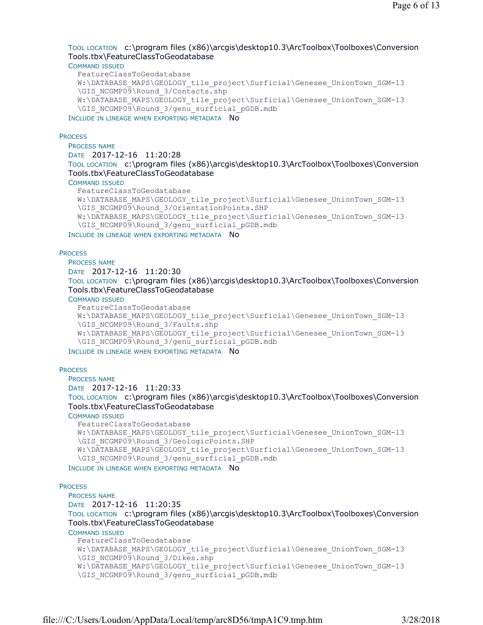### TOOL LOCATION c:\program files (x86)\arcgis\desktop10.3\ArcToolbox\Toolboxes\Conversion Tools.tbx\FeatureClassToGeodatabase

#### COMMAND ISSUED

```
FeatureClassToGeodatabase 
W:\DATABASE_MAPS\GEOLOGY_tile_project\Surficial\Genesee_UnionTown_SGM-13
\GIS_NCGMP09\Round_3/Contacts.shp 
W:\DATABASE_MAPS\GEOLOGY_tile_project\Surficial\Genesee_UnionTown_SGM-13
\GIS_NCGMP09\Round_3/genu_surficial_pGDB.mdb
```
INCLUDE IN LINEAGE WHEN EXPORTING METADATA NO

#### **PROCESS**

PROCESS NAME DATE 2017-12-16 11:20:28 TOOL LOCATION c:\program files (x86)\arcgis\desktop10.3\ArcToolbox\Toolboxes\Conversion Tools.tbx\FeatureClassToGeodatabase

#### COMMAND ISSUED

```
FeatureClassToGeodatabase 
W:\DATABASE_MAPS\GEOLOGY_tile_project\Surficial\Genesee_UnionTown_SGM-13
\GIS_NCGMP09\Round_3/OrientationPoints.SHP 
W:\DATABASE_MAPS\GEOLOGY_tile_project\Surficial\Genesee_UnionTown_SGM-13
\GIS_NCGMP09\Round_3/genu_surficial_pGDB.mdb
```
INCLUDE IN LINEAGE WHEN EXPORTING METADATA NO

#### **PROCESS**

PROCESS NAME DATE 2017-12-16 11:20:30 TOOL LOCATION c:\program files (x86)\arcgis\desktop10.3\ArcToolbox\Toolboxes\Conversion Tools.tbx\FeatureClassToGeodatabase

#### COMMAND ISSUED

```
FeatureClassToGeodatabase 
W:\DATABASE_MAPS\GEOLOGY_tile_project\Surficial\Genesee_UnionTown_SGM-13
\GIS_NCGMP09\Round_3/Faults.shp
W:\DATABASE_MAPS\GEOLOGY_tile_project\Surficial\Genesee_UnionTown_SGM-13
\GIS_NCGMP09\Round_3/genu_surficial_pGDB.mdb
```
INCLUDE IN LINEAGE WHEN EXPORTING METADATA NO

#### **PROCESS**

```
PROCESS NAME
DATE 2017-12-16 11:20:33 
TOOL LOCATION c:\program files (x86)\arcgis\desktop10.3\ArcToolbox\Toolboxes\Conversion 
Tools.tbx\FeatureClassToGeodatabase
```
COMMAND ISSUED

```
FeatureClassToGeodatabase 
W:\DATABASE_MAPS\GEOLOGY_tile_project\Surficial\Genesee_UnionTown_SGM-13
\GIS_NCGMP09\Round_3/GeologicPoints.SHP 
W:\DATABASE_MAPS\GEOLOGY_tile_project\Surficial\Genesee_UnionTown_SGM-13
\GIS_NCGMP09\Round_3/genu_surficial_pGDB.mdb
```

```
INCLUDE IN LINEAGE WHEN EXPORTING METADATA NO
```
#### **PROCESS**

```
PROCESS NAME
DATE 2017-12-16 11:20:35 
TOOL LOCATION c:\program files (x86)\arcgis\desktop10.3\ArcToolbox\Toolboxes\Conversion 
Tools.tbx\FeatureClassToGeodatabase 
COMMAND ISSUED
  FeatureClassToGeodatabase 
  W:\DATABASE_MAPS\GEOLOGY_tile_project\Surficial\Genesee_UnionTown_SGM-13
  \GIS_NCGMP09\Round_3/Dikes.shp 
  W:\DATABASE_MAPS\GEOLOGY_tile_project\Surficial\Genesee_UnionTown_SGM-13
```

```
\GIS_NCGMP09\Round_3/genu_surficial_pGDB.mdb
```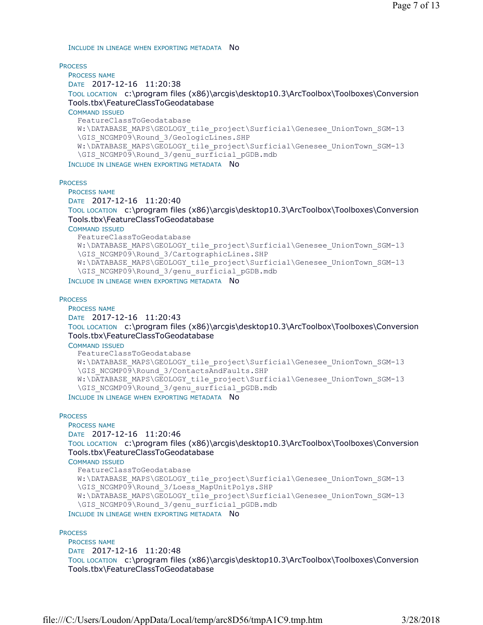INCLUDE IN LINEAGE WHEN EXPORTING METADATA NO

**PROCESS** 

PROCESS NAME DATE 2017-12-16 11:20:38 TOOL LOCATION c:\program files (x86)\arcgis\desktop10.3\ArcToolbox\Toolboxes\Conversion Tools.tbx\FeatureClassToGeodatabase COMMAND ISSUED FeatureClassToGeodatabase W:\DATABASE\_MAPS\GEOLOGY\_tile\_project\Surficial\Genesee\_UnionTown\_SGM-13 \GIS\_NCGMP09\Round\_3/GeologicLines.SHP W:\DATABASE\_MAPS\GEOLOGY\_tile\_project\Surficial\Genesee\_UnionTown\_SGM-13 \GIS\_NCGMP09\Round\_3/genu\_surficial\_pGDB.mdb

INCLUDE IN LINEAGE WHEN EXPORTING METADATA NO

**PROCESS** 

PROCESS NAME

DATE 2017-12-16 11:20:40 TOOL LOCATION c:\program files (x86)\arcgis\desktop10.3\ArcToolbox\Toolboxes\Conversion

Tools.tbx\FeatureClassToGeodatabase

COMMAND ISSUED

```
FeatureClassToGeodatabase 
  W:\DATABASE_MAPS\GEOLOGY_tile_project\Surficial\Genesee_UnionTown_SGM-13
  \GIS_NCGMP09\Round_3/CartographicLines.SHP 
  W:\DATABASE_MAPS\GEOLOGY_tile_project\Surficial\Genesee_UnionTown_SGM-13
  \GIS_NCGMP09\Round_3/genu_surficial_pGDB.mdb
INCLUDE IN LINEAGE WHEN EXPORTING METADATA NO
```
**PROCESS** 

PROCESS NAME

```
DATE 2017-12-16 11:20:43
```
TOOL LOCATION c:\program files (x86)\arcgis\desktop10.3\ArcToolbox\Toolboxes\Conversion Tools.tbx\FeatureClassToGeodatabase

COMMAND ISSUED

```
FeatureClassToGeodatabase 
  W:\DATABASE_MAPS\GEOLOGY_tile_project\Surficial\Genesee_UnionTown_SGM-13
  \GIS_NCGMP09\Round_3/ContactsAndFaults.SHP 
  W:\DATABASE_MAPS\GEOLOGY_tile_project\Surficial\Genesee_UnionTown_SGM-13
  \GIS_NCGMP09\Round_3/genu_surficial_pGDB.mdb
INCLUDE IN LINEAGE WHEN EXPORTING METADATA NO
```
**PROCESS** 

```
PROCESS NAME
DATE 2017-12-16 11:20:46
```
TOOL LOCATION c:\program files (x86)\arcgis\desktop10.3\ArcToolbox\Toolboxes\Conversion Tools.tbx\FeatureClassToGeodatabase

COMMAND ISSUED

```
FeatureClassToGeodatabase 
  W:\DATABASE_MAPS\GEOLOGY_tile_project\Surficial\Genesee_UnionTown_SGM-13
  \GIS_NCGMP09\Round_3/Loess_MapUnitPolys.SHP 
  W:\DATABASE_MAPS\GEOLOGY_tile_project\Surficial\Genesee_UnionTown_SGM-13
  \GIS_NCGMP09\Round_3/genu_surficial_pGDB.mdb
INCLUDE IN LINEAGE WHEN EXPORTING METADATA NO
```
**PROCESS** 

PROCESS NAME DATE 2017-12-16 11:20:48 TOOL LOCATION c:\program files (x86)\arcgis\desktop10.3\ArcToolbox\Toolboxes\Conversion Tools.tbx\FeatureClassToGeodatabase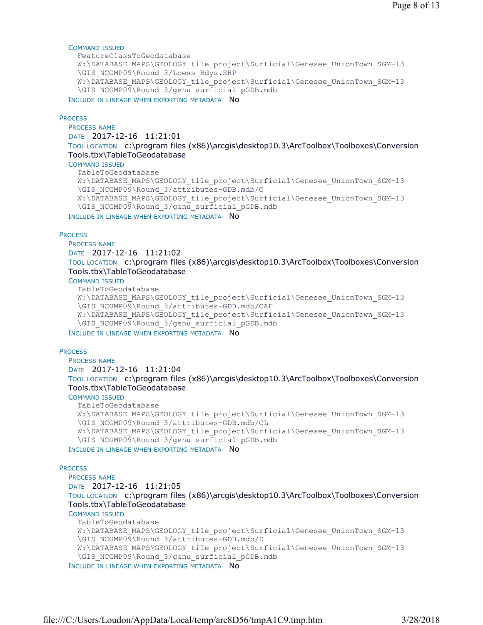#### COMMAND ISSUED

```
FeatureClassToGeodatabase 
W:\DATABASE_MAPS\GEOLOGY_tile_project\Surficial\Genesee_UnionTown_SGM-13
\GIS_NCGMP09\Round_3/Loess_Bdys.SHP
W:\DATABASE_MAPS\GEOLOGY_tile_project\Surficial\Genesee_UnionTown_SGM-13
\GIS_NCGMP09\Round_3/genu_surficial_pGDB.mdb
```
INCLUDE IN LINEAGE WHEN EXPORTING METADATA NO

#### **PROCESS**

PROCESS NAME DATE 2017-12-16 11:21:01

TOOL LOCATION c:\program files (x86)\arcgis\desktop10.3\ArcToolbox\Toolboxes\Conversion Tools.tbx\TableToGeodatabase

#### COMMAND ISSUED

```
TableToGeodatabase 
W:\DATABASE_MAPS\GEOLOGY_tile_project\Surficial\Genesee_UnionTown_SGM-13
\GIS_NCGMP09\Round_3/attributes-GDB.mdb/C 
W:\DATABASE_MAPS\GEOLOGY_tile_project\Surficial\Genesee_UnionTown_SGM-13
\GIS_NCGMP09\Round_3/genu_surficial_pGDB.mdb
```
INCLUDE IN LINEAGE WHEN EXPORTING METADATA NO

#### **PROCESS**

PROCESS NAME DATE 2017-12-16 11:21:02 TOOL LOCATION c:\program files (x86)\arcgis\desktop10.3\ArcToolbox\Toolboxes\Conversion Tools.tbx\TableToGeodatabase

COMMAND ISSUED

```
TableToGeodatabase 
W:\DATABASE_MAPS\GEOLOGY_tile_project\Surficial\Genesee_UnionTown_SGM-13
\GIS_NCGMP09\Round_3/attributes-GDB.mdb/CAF 
W:\DATABASE_MAPS\GEOLOGY_tile_project\Surficial\Genesee_UnionTown_SGM-13
\GIS_NCGMP09\Round_3/genu_surficial_pGDB.mdb
```
INCLUDE IN LINEAGE WHEN EXPORTING METADATA NO

#### **PROCESS**

```
PROCESS NAME
DATE 2017-12-16 11:21:04 
TOOL LOCATION c:\program files (x86)\arcgis\desktop10.3\ArcToolbox\Toolboxes\Conversion 
Tools.tbx\TableToGeodatabase
```
COMMAND ISSUED

```
TableToGeodatabase 
  W:\DATABASE_MAPS\GEOLOGY_tile_project\Surficial\Genesee_UnionTown_SGM-13
  \GIS_NCGMP09\Round_3/attributes-GDB.mdb/CL 
  W:\DATABASE_MAPS\GEOLOGY_tile_project\Surficial\Genesee_UnionTown_SGM-13
  \GIS_NCGMP09\Round_3/genu_surficial_pGDB.mdb
INCLUDE IN LINEAGE WHEN EXPORTING METADATA NO
```
#### **PROCESS**

```
PROCESS NAME
DATE 2017-12-16 11:21:05 
TOOL LOCATION c:\program files (x86)\arcgis\desktop10.3\ArcToolbox\Toolboxes\Conversion 
Tools.tbx\TableToGeodatabase 
COMMAND ISSUED
  TableToGeodatabase 
  W:\DATABASE_MAPS\GEOLOGY_tile_project\Surficial\Genesee_UnionTown_SGM-13
  \GIS_NCGMP09\Round_3/attributes-GDB.mdb/D 
  W:\DATABASE_MAPS\GEOLOGY_tile_project\Surficial\Genesee_UnionTown_SGM-13
  \GIS_NCGMP09\Round_3/genu_surficial_pGDB.mdb
INCLUDE IN LINEAGE WHEN EXPORTING METADATA NO
```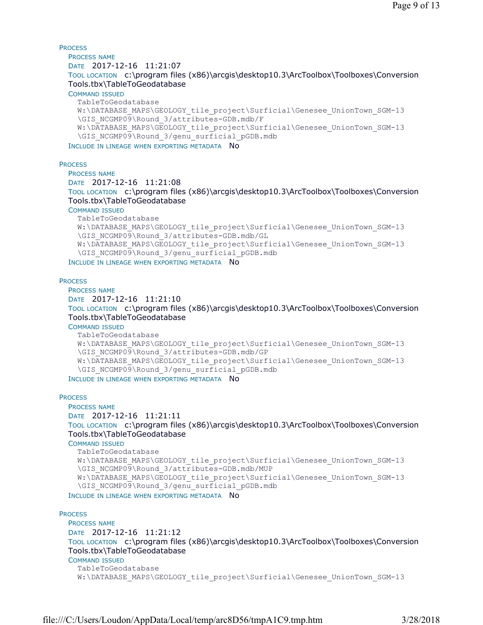**PROCESS** PROCESS NAME DATE 2017-12-16 11:21:07 TOOL LOCATION c:\program files (x86)\arcgis\desktop10.3\ArcToolbox\Toolboxes\Conversion Tools.tbx\TableToGeodatabase COMMAND ISSUED TableToGeodatabase W:\DATABASE\_MAPS\GEOLOGY\_tile\_project\Surficial\Genesee\_UnionTown\_SGM-13 \GIS\_NCGMP09\Round\_3/attributes-GDB.mdb/F W:\DATABASE\_MAPS\GEOLOGY\_tile\_project\Surficial\Genesee\_UnionTown\_SGM-13 \GIS\_NCGMP09\Round\_3/genu\_surficial\_pGDB.mdb INCLUDE IN LINEAGE WHEN EXPORTING METADATA NO

**PROCESS** 

PROCESS NAME DATE 2017-12-16 11:21:08 TOOL LOCATION c:\program files (x86)\arcgis\desktop10.3\ArcToolbox\Toolboxes\Conversion Tools.tbx\TableToGeodatabase COMMAND ISSUED TableToGeodatabase W:\DATABASE\_MAPS\GEOLOGY\_tile\_project\Surficial\Genesee\_UnionTown\_SGM-13 \GIS\_NCGMP09\Round\_3/attributes-GDB.mdb/GL W:\DATABASE\_MAPS\GEOLOGY\_tile\_project\Surficial\Genesee\_UnionTown\_SGM-13 \GIS\_NCGMP09\Round\_3/genu\_surficial\_pGDB.mdb

INCLUDE IN LINEAGE WHEN EXPORTING METADATA NO

#### **PROCESS**

PROCESS NAME DATE 2017-12-16 11:21:10 TOOL LOCATION c:\program files (x86)\arcgis\desktop10.3\ArcToolbox\Toolboxes\Conversion Tools.tbx\TableToGeodatabase

COMMAND ISSUED

TableToGeodatabase W:\DATABASE\_MAPS\GEOLOGY\_tile\_project\Surficial\Genesee\_UnionTown\_SGM-13 \GIS\_NCGMP09\Round\_3/attributes-GDB.mdb/GP W:\DATABASE\_MAPS\GEOLOGY\_tile\_project\Surficial\Genesee\_UnionTown\_SGM-13 \GIS\_NCGMP09\Round\_3/genu\_surficial\_pGDB.mdb

INCLUDE IN LINEAGE WHEN EXPORTING METADATA NO

#### **PROCESS**

PROCESS NAME DATE 2017-12-16 11:21:11 TOOL LOCATION c:\program files (x86)\arcgis\desktop10.3\ArcToolbox\Toolboxes\Conversion Tools.tbx\TableToGeodatabase COMMAND ISSUED

TableToGeodatabase W:\DATABASE\_MAPS\GEOLOGY\_tile\_project\Surficial\Genesee\_UnionTown\_SGM-13 \GIS\_NCGMP09\Round\_3/attributes-GDB.mdb/MUP W:\DATABASE\_MAPS\GEOLOGY\_tile\_project\Surficial\Genesee\_UnionTown\_SGM-13 \GIS\_NCGMP09\Round\_3/genu\_surficial\_pGDB.mdb INCLUDE IN LINEAGE WHEN EXPORTING METADATA NO

**PROCESS** PROCESS NAME DATE 2017-12-16 11:21:12 TOOL LOCATION c:\program files (x86)\arcgis\desktop10.3\ArcToolbox\Toolboxes\Conversion Tools.tbx\TableToGeodatabase COMMAND ISSUED TableToGeodatabase W:\DATABASE\_MAPS\GEOLOGY\_tile\_project\Surficial\Genesee\_UnionTown\_SGM-13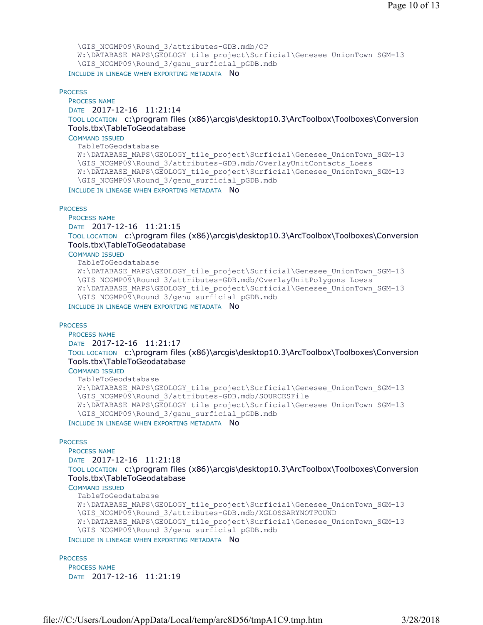```
\GIS_NCGMP09\Round_3/attributes-GDB.mdb/OP 
  W:\DATABASE_MAPS\GEOLOGY_tile_project\Surficial\Genesee_UnionTown_SGM-13
  \GIS_NCGMP09\Round_3/genu_surficial_pGDB.mdb
INCLUDE IN LINEAGE WHEN EXPORTING METADATA NO
```
#### **PROCESS**

```
PROCESS NAME
DATE 2017-12-16 11:21:14 
TOOL LOCATION c:\program files (x86)\arcgis\desktop10.3\ArcToolbox\Toolboxes\Conversion 
Tools.tbx\TableToGeodatabase 
COMMAND ISSUED
  TableToGeodatabase 
  W:\DATABASE_MAPS\GEOLOGY_tile_project\Surficial\Genesee_UnionTown_SGM-13
  \GIS_NCGMP09\Round_3/attributes-GDB.mdb/OverlayUnitContacts_Loess
  W:\DATABASE_MAPS\GEOLOGY_tile_project\Surficial\Genesee_UnionTown_SGM-13
  \GIS_NCGMP09\Round_3/genu_surficial_pGDB.mdb
```
INCLUDE IN LINEAGE WHEN EXPORTING METADATA NO

#### **PROCESS**

PROCESS NAME

DATE 2017-12-16 11:21:15

TOOL LOCATION c:\program files (x86)\arcgis\desktop10.3\ArcToolbox\Toolboxes\Conversion Tools.tbx\TableToGeodatabase

COMMAND ISSUED

```
TableToGeodatabase 
 W:\DATABASE_MAPS\GEOLOGY_tile_project\Surficial\Genesee_UnionTown_SGM-13
  \GIS_NCGMP09\Round_3/attributes-GDB.mdb/OverlayUnitPolygons_Loess 
 W:\DATABASE_MAPS\GEOLOGY_tile_project\Surficial\Genesee_UnionTown_SGM-13
  \GIS_NCGMP09\Round_3/genu_surficial_pGDB.mdb
INCLUDE IN LINEAGE WHEN EXPORTING METADATA NO
```
#### **PROCESS**

PROCESS NAME

```
DATE 2017-12-16 11:21:17
```
TOOL LOCATION c:\program files (x86)\arcgis\desktop10.3\ArcToolbox\Toolboxes\Conversion Tools.tbx\TableToGeodatabase

COMMAND ISSUED

```
TableToGeodatabase 
 W:\DATABASE_MAPS\GEOLOGY_tile_project\Surficial\Genesee_UnionTown_SGM-13
  \GIS_NCGMP09\Round_3/attributes-GDB.mdb/SOURCESFile 
 W:\DATABASE_MAPS\GEOLOGY_tile_project\Surficial\Genesee_UnionTown_SGM-13
  \GIS_NCGMP09\Round_3/genu_surficial_pGDB.mdb
INCLUDE IN LINEAGE WHEN EXPORTING METADATA NO
```
#### **PROCESS**

PROCESS NAME DATE 2017-12-16 11:21:18 TOOL LOCATION c:\program files (x86)\arcgis\desktop10.3\ArcToolbox\Toolboxes\Conversion Tools.tbx\TableToGeodatabase COMMAND ISSUED TableToGeodatabase W:\DATABASE\_MAPS\GEOLOGY\_tile\_project\Surficial\Genesee\_UnionTown\_SGM-13 \GIS\_NCGMP09\Round\_3/attributes-GDB.mdb/XGLOSSARYNOTFOUND W:\DATABASE\_MAPS\GEOLOGY\_tile\_project\Surficial\Genesee\_UnionTown\_SGM-13 \GIS\_NCGMP09\Round\_3/genu\_surficial\_pGDB.mdb INCLUDE IN LINEAGE WHEN EXPORTING METADATA NO

#### **PROCESS**

PROCESS NAME DATE 2017-12-16 11:21:19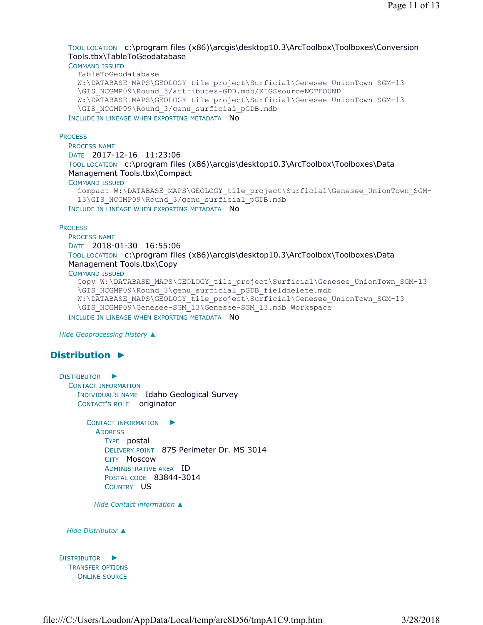### TOOL LOCATION c:\program files (x86)\arcgis\desktop10.3\ArcToolbox\Toolboxes\Conversion Tools.tbx\TableToGeodatabase

COMMAND ISSUED

TableToGeodatabase

```
W:\DATABASE_MAPS\GEOLOGY_tile_project\Surficial\Genesee_UnionTown_SGM-13
\GIS_NCGMP09\Round_3/attributes-GDB.mdb/XIGSsourceNOTFOUND 
W:\DATABASE_MAPS\GEOLOGY_tile_project\Surficial\Genesee_UnionTown_SGM-13
\GIS_NCGMP09\Round_3/genu_surficial_pGDB.mdb
```
INCLUDE IN LINEAGE WHEN EXPORTING METADATA NO

**PROCESS** 

PROCESS NAME DATE 2017-12-16 11:23:06 TOOL LOCATION c:\program files (x86)\arcgis\desktop10.3\ArcToolbox\Toolboxes\Data Management Tools.tbx\Compact COMMAND ISSUED Compact W:\DATABASE\_MAPS\GEOLOGY\_tile\_project\Surficial\Genesee\_UnionTown\_SGM-

```
13\GIS_NCGMP09\Round_3/genu_surficial_pGDB.mdb
```
INCLUDE IN LINEAGE WHEN EXPORTING METADATA NO

#### **PROCESS**

PROCESS NAME

DATE 2018-01-30 16:55:06

TOOL LOCATION c:\program files (x86)\arcgis\desktop10.3\ArcToolbox\Toolboxes\Data Management Tools.tbx\Copy

COMMAND ISSUED

```
Copy W:\DATABASE_MAPS\GEOLOGY_tile_project\Surficial\Genesee_UnionTown_SGM-13
  \GIS_NCGMP09\Round_3\genu_surficial_pGDB_fielddelete.mdb
  W:\DATABASE_MAPS\GEOLOGY_tile_project\Surficial\Genesee_UnionTown_SGM-13
  \GIS_NCGMP09\Genesee-SGM_13\Genesee-SGM_13.mdb Workspace
INCLUDE IN LINEAGE WHEN EXPORTING METADATA NO
```
*Hide Geoprocessing history ▲*

# **Distribution ►**

```
DISTRIBUTOR
►
 CONTACT INFORMATION
    INDIVIDUAL'S NAME Idaho Geological Survey 
    CONTACT'S ROLE originator
```

```
CONTACT INFORMATION
►
 ADDRESS
    TYPE postal 
    DELIVERY POINT 875 Perimeter Dr. MS 3014 
    CITY Moscow 
    ADMINISTRATIVE AREA ID 
    POSTAL CODE 83844-3014 
    COUNTRY US
```
*Hide Contact information ▲*



```
DISTRIBUTOR
►
 TRANSFER OPTIONS
    ONLINE SOURCE
```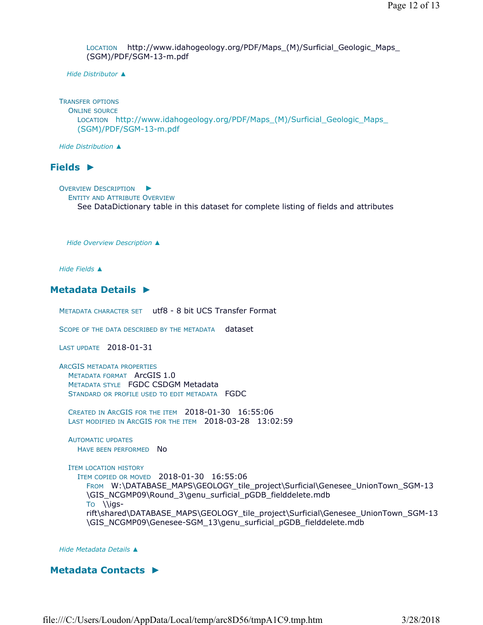LOCATION http://www.idahogeology.org/PDF/Maps\_(M)/Surficial\_Geologic\_Maps\_ (SGM)/PDF/SGM-13-m.pdf

*Hide Distributor ▲*

TRANSFER OPTIONS ONLINE SOURCE LOCATION http://www.idahogeology.org/PDF/Maps\_(M)/Surficial\_Geologic\_Maps\_ (SGM)/PDF/SGM-13-m.pdf

*Hide Distribution ▲*

### **Fields ►**

OVERVIEW DESCRIPTION ► ENTITY AND ATTRIBUTE OVERVIEW See DataDictionary table in this dataset for complete listing of fields and attributes

*Hide Overview Description ▲*

*Hide Fields ▲*

# **Metadata Details ►**

METADATA CHARACTER SET utf8 - 8 bit UCS Transfer Format

SCOPE OF THE DATA DESCRIBED BY THE METADATA dataset

LAST UPDATE 2018-01-31

ARCGIS METADATA PROPERTIES METADATA FORMAT ArcGIS 1.0 METADATA STYLE FGDC CSDGM Metadata STANDARD OR PROFILE USED TO EDIT METADATA FGDC

CREATED IN ARCGIS FOR THE ITEM 2018-01-30 16:55:06 LAST MODIFIED IN ARCGIS FOR THE ITEM 2018-03-28 13:02:59

AUTOMATIC UPDATES HAVE BEEN PERFORMED NO

ITEM LOCATION HISTORY

ITEM COPIED OR MOVED 2018-01-30 16:55:06 FROM W:\DATABASE\_MAPS\GEOLOGY\_tile\_project\Surficial\Genesee\_UnionTown\_SGM-13 \GIS\_NCGMP09\Round\_3\genu\_surficial\_pGDB\_fielddelete.mdb TO \\igsrift\shared\DATABASE\_MAPS\GEOLOGY\_tile\_project\Surficial\Genesee\_UnionTown\_SGM-13 \GIS\_NCGMP09\Genesee-SGM\_13\genu\_surficial\_pGDB\_fielddelete.mdb

*Hide Metadata Details ▲*

### **Metadata Contacts ►**